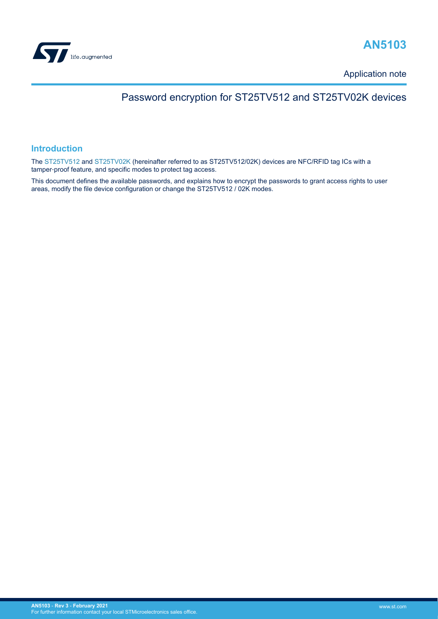<span id="page-0-0"></span>

## **AN5103**

Application note

## Password encryption for ST25TV512 and ST25TV02K devices

### **Introduction**

The [ST25TV512](http://www.st.com/en/product/ST25TV512?ecmp=tt9470_gl_link_feb2019&rt=an&id=AN5103) and [ST25TV02K](http://www.st.com/en/product/st25tv02K?ecmp=tt9470_gl_link_feb2019&rt=an&id=AN5103) (hereinafter referred to as ST25TV512/02K) devices are NFC/RFID tag ICs with a tamper‑proof feature, and specific modes to protect tag access.

This document defines the available passwords, and explains how to encrypt the passwords to grant access rights to user areas, modify the file device configuration or change the ST25TV512 / 02K modes.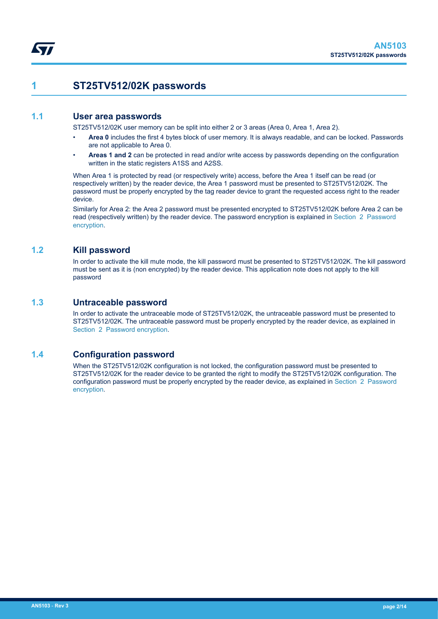## <span id="page-1-0"></span>**1 ST25TV512/02K passwords**

### **1.1 User area passwords**

ST25TV512/02K user memory can be split into either 2 or 3 areas (Area 0, Area 1, Area 2).

- **Area 0** includes the first 4 bytes block of user memory. It is always readable, and can be locked. Passwords are not applicable to Area 0.
- **Areas 1 and 2** can be protected in read and/or write access by passwords depending on the configuration written in the static registers A1SS and A2SS.

When Area 1 is protected by read (or respectively write) access, before the Area 1 itself can be read (or respectively written) by the reader device, the Area 1 password must be presented to ST25TV512/02K. The password must be properly encrypted by the tag reader device to grant the requested access right to the reader device.

Similarly for Area 2: the Area 2 password must be presented encrypted to ST25TV512/02K before Area 2 can be read (respectively written) by the reader device. The password encryption is explained in [Section 2 Password](#page-2-0) [encryption.](#page-2-0)

### **1.2 Kill password**

In order to activate the kill mute mode, the kill password must be presented to ST25TV512/02K. The kill password must be sent as it is (non encrypted) by the reader device. This application note does not apply to the kill password

### **1.3 Untraceable password**

In order to activate the untraceable mode of ST25TV512/02K, the untraceable password must be presented to ST25TV512/02K. The untraceable password must be properly encrypted by the reader device, as explained in [Section 2 Password encryption.](#page-2-0)

### **1.4 Configuration password**

When the ST25TV512/02K configuration is not locked, the configuration password must be presented to ST25TV512/02K for the reader device to be granted the right to modify the ST25TV512/02K configuration. The configuration password must be properly encrypted by the reader device, as explained in [Section 2 Password](#page-2-0) [encryption.](#page-2-0)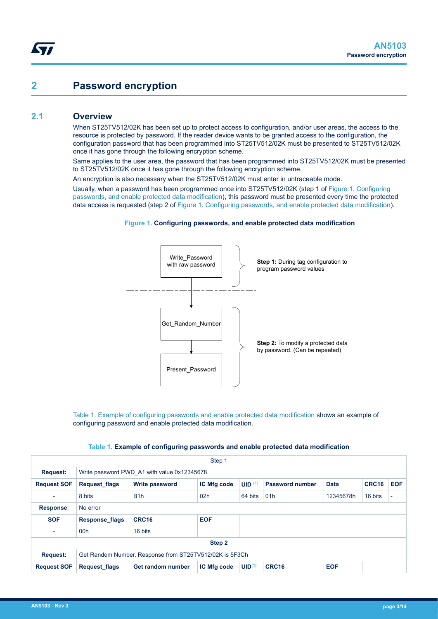## <span id="page-2-0"></span>**2 Password encryption**

### **2.1 Overview**

When ST25TV512/02K has been set up to protect access to configuration, and/or user areas, the access to the resource is protected by password. If the reader device wants to be granted access to the configuration, the configuration password that has been programmed into ST25TV512/02K must be presented to ST25TV512/02K once it has gone through the following encryption scheme.

Same applies to the user area, the password that has been programmed into ST25TV512/02K must be presented to ST25TV512/02K once it has gone through the following encryption scheme.

An encryption is also necessary when the ST25TV512/02K must enter in untraceable mode.

Usually, when a password has been programmed once into ST25TV512/02K (step 1 of Figure 1. Configuring passwords, and enable protected data modification), this password must be presented every time the protected data access is requested (step 2 of Figure 1. Configuring passwords, and enable protected data modification).

#### **Figure 1. Configuring passwords, and enable protected data modification**



Table 1. Example of configuring passwords and enable protected data modification shows an example of configuring password and enable protected data modification.

|  | Table 1. Example of configuring passwords and enable protected data modification |  |  |  |
|--|----------------------------------------------------------------------------------|--|--|--|
|--|----------------------------------------------------------------------------------|--|--|--|

| Step 1                                                                     |                                             |                       |                 |                    |                        |             |         |                          |  |
|----------------------------------------------------------------------------|---------------------------------------------|-----------------------|-----------------|--------------------|------------------------|-------------|---------|--------------------------|--|
| <b>Request:</b>                                                            | Write password PWD A1 with value 0x12345678 |                       |                 |                    |                        |             |         |                          |  |
| <b>Request SOF</b>                                                         | <b>Request flags</b>                        | <b>Write password</b> | IC Mfg code     | UID $(1)$          | <b>Password number</b> | <b>Data</b> | CRC16   | <b>EOF</b>               |  |
| $\overline{\phantom{a}}$                                                   | 8 bits                                      | B <sub>1</sub> h      | 02 <sub>h</sub> | 64 bits            | 01h                    | 12345678h   | 16 bits | $\overline{\phantom{a}}$ |  |
| Response:                                                                  | No error                                    |                       |                 |                    |                        |             |         |                          |  |
| <b>SOF</b>                                                                 | <b>Response flags</b>                       | CRC <sub>16</sub>     | <b>EOF</b>      |                    |                        |             |         |                          |  |
| $\overline{\phantom{a}}$                                                   | 00h                                         | 16 bits               |                 |                    |                        |             |         |                          |  |
| Step 2                                                                     |                                             |                       |                 |                    |                        |             |         |                          |  |
| Get Random Number. Response from ST25TV512/02K is 5F3Ch<br><b>Request:</b> |                                             |                       |                 |                    |                        |             |         |                          |  |
| <b>Request SOF</b>                                                         | <b>Request flags</b>                        | Get random number     | IC Mfg code     | UID <sup>(1)</sup> | <b>CRC16</b>           | <b>EOF</b>  |         |                          |  |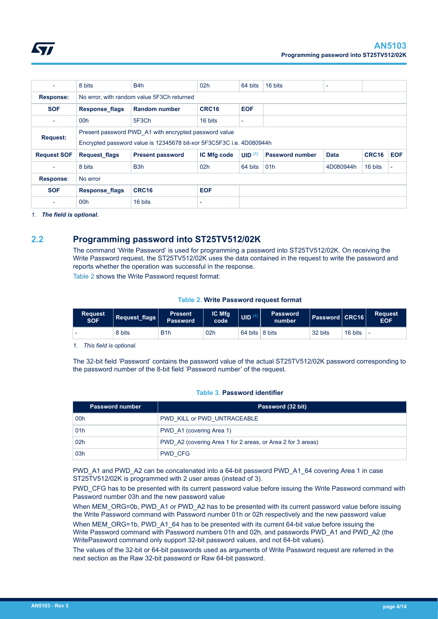<span id="page-3-0"></span>

| $\overline{\phantom{0}}$ | 8 bits                                     | B <sub>4</sub> h                                                     | 02h             | 64 bits                  | 16 bits                |             |         |            |  |
|--------------------------|--------------------------------------------|----------------------------------------------------------------------|-----------------|--------------------------|------------------------|-------------|---------|------------|--|
| <b>Response:</b>         | No error, with random value 5F3Ch returned |                                                                      |                 |                          |                        |             |         |            |  |
| <b>SOF</b>               | <b>Response flags</b>                      | <b>Random number</b>                                                 | CRC16           | <b>EOF</b>               |                        |             |         |            |  |
| $\overline{\phantom{a}}$ | 00h                                        | 5F3Ch                                                                | 16 bits         | $\overline{\phantom{0}}$ |                        |             |         |            |  |
| <b>Request:</b>          |                                            | Present password PWD A1 with encrypted password value                |                 |                          |                        |             |         |            |  |
|                          |                                            | Encrypted password value is 12345678 bit-xor 5F3C5F3C i.e. 4D080944h |                 |                          |                        |             |         |            |  |
| <b>Request SOF</b>       | <b>Request flags</b>                       | <b>Present password</b>                                              | IC Mfg code     | UID <sup>(1)</sup>       | <b>Password number</b> | <b>Data</b> | CRC16   | <b>EOF</b> |  |
| $\overline{\phantom{a}}$ | 8 bits                                     | B <sub>3</sub> h                                                     | 02 <sub>h</sub> | 64 bits                  | 01 <sub>h</sub>        | 4D080944h   | 16 bits |            |  |
| Response:                | No error                                   |                                                                      |                 |                          |                        |             |         |            |  |
| <b>SOF</b>               | <b>Response flags</b>                      | CRC16                                                                | <b>EOF</b>      |                          |                        |             |         |            |  |
| ٠                        | 00h                                        | 16 bits                                                              |                 |                          |                        |             |         |            |  |

*1. The field is optional.*

## **2.2 Programming password into ST25TV512/02K**

The command 'Write Password' is used for programming a password into ST25TV512/02K. On receiving the Write Password request, the ST25TV512/02K uses the data contained in the request to write the password and reports whether the operation was successful in the response. Table 2 shows the Write Password request format:

**Table 2. Write Password request format**

| <b>Request</b><br><b>SOF</b> | $\mid$ Request_flags $\mid$ | <b>Present</b><br><b>Password</b> | IC Mfg<br>code  | $\vert$ UID $^{(1)}$   | <b>Password</b><br>number | Password CRC16 |         | <b>Request</b><br><b>EOF</b> |
|------------------------------|-----------------------------|-----------------------------------|-----------------|------------------------|---------------------------|----------------|---------|------------------------------|
|                              | 8 bits                      | B <sub>1</sub> h                  | 02 <sub>h</sub> | 64 bits $\vert$ 8 bits |                           | 32 bits        | 16 bits |                              |

*1. This field is optional.*

The 32-bit field 'Password' contains the password value of the actual ST25TV512/02K password corresponding to the password number of the 8-bit field 'Password number' of the request.

#### **Table 3. Password identifier**

| <b>Password number</b> | Password (32 bit)                                           |  |  |
|------------------------|-------------------------------------------------------------|--|--|
| 00h                    | PWD KILL or PWD UNTRACEABLE                                 |  |  |
| 01h                    | PWD A1 (covering Area 1)                                    |  |  |
| 02h                    | PWD A2 (covering Area 1 for 2 areas, or Area 2 for 3 areas) |  |  |
| 03h                    | PWD CFG                                                     |  |  |

PWD\_A1 and PWD\_A2 can be concatenated into a 64-bit password PWD\_A1\_64 covering Area 1 in case ST25TV512/02K is programmed with 2 user areas (instead of 3).

PWD CFG has to be presented with its current password value before issuing the Write Password command with Password number 03h and the new password value

When MEM\_ORG=0b, PWD\_A1 or PWD\_A2 has to be presented with its current password value before issuing the Write Password command with Password number 01h or 02h respectively and the new password value

When MEM\_ORG=1b, PWD\_A1\_64 has to be presented with its current 64-bit value before issuing the Write Password command with Password numbers 01h and 02h, and passwords PWD\_A1 and PWD\_A2 (the WritePassword command only support 32-bit password values, and not 64-bit values).

The values of the 32-bit or 64-bit passwords used as arguments of Write Password request are referred in the next section as the Raw 32-bit password or Raw 64-bit password.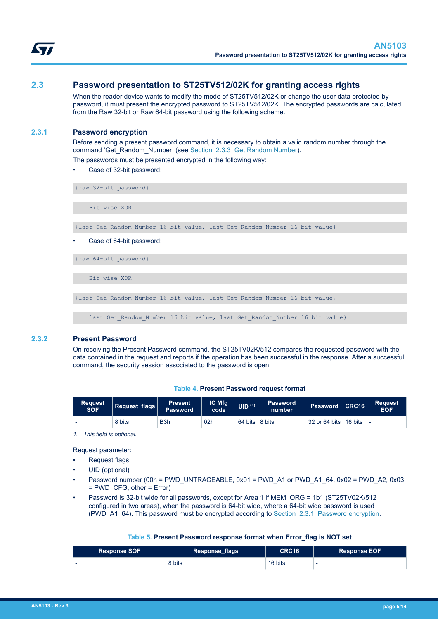<span id="page-4-0"></span>

## **2.3 Password presentation to ST25TV512/02K for granting access rights**

When the reader device wants to modify the mode of ST25TV512/02K or change the user data protected by password, it must present the encrypted password to ST25TV512/02K. The encrypted passwords are calculated from the Raw 32-bit or Raw 64-bit password using the following scheme.

#### **2.3.1 Password encryption**

Before sending a present password command, it is necessary to obtain a valid random number through the command 'Get\_Random\_Number' (see [Section 2.3.3 Get Random Number](#page-5-0)).

The passwords must be presented encrypted in the following way:

Case of 32-bit password:

{raw 32-bit password}

Bit wise XOR

{last Get\_Random\_Number 16 bit value, last Get\_Random\_Number 16 bit value}

Case of 64-bit password:

{raw 64-bit password}

Bit wise XOR

```
{last Get_Random_Number 16 bit value, last Get_Random_Number 16 bit value,
```
last Get Random Number 16 bit value, last Get Random Number 16 bit value}

#### **2.3.2 Present Password**

On receiving the Present Password command, the ST25TV02K/512 compares the requested password with the data contained in the request and reports if the operation has been successful in the response. After a successful command, the security session associated to the password is open.

| Table 4. Present Password request format |  |  |  |
|------------------------------------------|--|--|--|
|------------------------------------------|--|--|--|

| <b>Request</b><br><b>SOF</b> | Request flags | <b>Present</b><br>Password <sup>'</sup> | <b>IC Mfg</b><br>code | UID <sup>(1)</sup> | <b>Password</b><br>number | Password CRC16          | <b>Request</b><br><b>EOF</b> |
|------------------------------|---------------|-----------------------------------------|-----------------------|--------------------|---------------------------|-------------------------|------------------------------|
| $\overline{\phantom{0}}$     | 8 bits        | B <sub>3</sub> h                        | 02h                   | $64 \text{ bits}$  | 8 bits                    | 32 or 64 bits   16 bits |                              |

*1. This field is optional.*

Request parameter:

- Request flags
- UID (optional)
- Password number (00h = PWD\_UNTRACEABLE, 0x01 = PWD\_A1 or PWD\_A1\_64, 0x02 = PWD\_A2, 0x03 = PWD\_CFG, other = Error)
- Password is 32-bit wide for all passwords, except for Area 1 if MEM\_ORG = 1b1 (ST25TV02K/512 configured in two areas), when the password is 64-bit wide, where a 64-bit wide password is used (PWD\_A1\_64). This password must be encrypted according to Section 2.3.1 Password encryption.

#### **Table 5. Present Password response format when Error\_flag is NOT set**

| <b>Response SOF</b>      | <b>Response_flags</b> | CRC16   | <b>Response EOF</b> |
|--------------------------|-----------------------|---------|---------------------|
| $\overline{\phantom{0}}$ | 8 bits                | 16 bits |                     |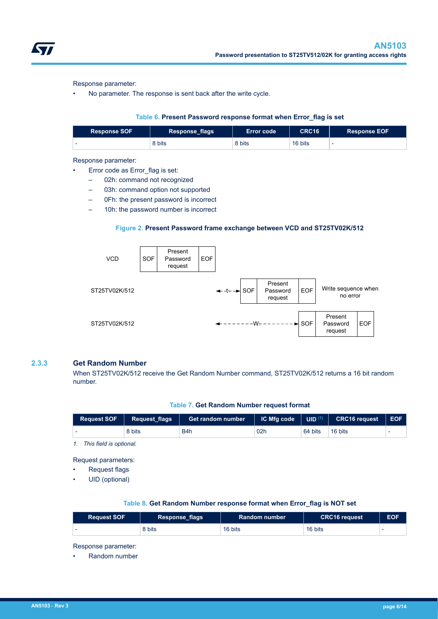<span id="page-5-0"></span>

Response parameter:

• No parameter. The response is sent back after the write cycle.

#### **Table 6. Present Password response format when Error\_flag is set**

| <b>Response SOF</b>      | <b>Response_flags</b> | <b>Error code</b> | CRC16   | <b>Response EOF</b> |
|--------------------------|-----------------------|-------------------|---------|---------------------|
| $\overline{\phantom{0}}$ | 8 bits                | 8 bits            | 16 bits |                     |

#### Response parameter:

- Error code as Error flag is set:
	- 02h: command not recognized
	- 03h: command option not supported
	- 0Fh: the present password is incorrect
	- 10h: the password number is incorrect

#### **Figure 2. Present Password frame exchange between VCD and ST25TV02K/512**



#### **2.3.3 Get Random Number**

When ST25TV02K/512 receive the Get Random Number command, ST25TV02K/512 returns a 16 bit random number.

#### **Table 7. Get Random Number request format**

| <b>Request SOF</b> | Request flags | <b>Get random number</b> |                 |         | $\vert$ IC Mfg code $\vert$ UID $^{(1)}$ $\vert$ CRC16 request | $\overline{\phantom{a}}$ EOF |
|--------------------|---------------|--------------------------|-----------------|---------|----------------------------------------------------------------|------------------------------|
|                    | 8 bits        | B4h                      | 02 <sub>b</sub> | 64 bits | 16 bits                                                        |                              |

*1. This field is optional.*

Request parameters:

Request flags

UID (optional)

#### **Table 8. Get Random Number response format when Error\_flag is NOT set**

| <b>Request SOF</b> | Response_flags | <b>Random number</b> | <b>CRC16 request</b> | <b>EOF</b>               |
|--------------------|----------------|----------------------|----------------------|--------------------------|
|                    | 8 bits         | 16 bits              | 16 bits              | $\overline{\phantom{0}}$ |

Response parameter:

• Random number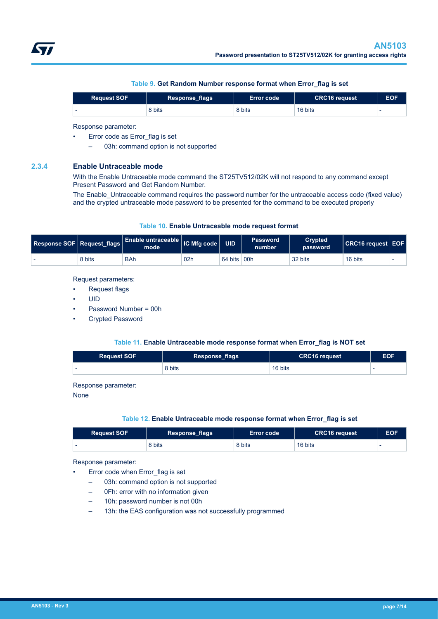| Table 9. Get Random Number response format when Error_flag is set |  |
|-------------------------------------------------------------------|--|
|-------------------------------------------------------------------|--|

<span id="page-6-0"></span>

| <b>Request SOF</b> | Response_flags | ⊦Error code ∖ | <b>CRC16 request</b> | <b>EOF</b> |
|--------------------|----------------|---------------|----------------------|------------|
|                    | 8 bits         | 8 bits        | 16 bits              |            |

Response parameter:

- Error code as Error flag is set
	- 03h: command option is not supported

#### **2.3.4 Enable Untraceable mode**

With the Enable Untraceable mode command the ST25TV512/02K will not respond to any command except Present Password and Get Random Number.

The Enable Untraceable command requires the password number for the untraceable access code (fixed value) and the crypted untraceable mode password to be presented for the command to be executed properly

#### **Table 10. Enable Untraceable mode request format**

| Response SOF   Request flags |        | $\vert$ Enable untraceable $\vert$ IC Mfg code $\vert$<br>mode' |                 | <b>UID</b> | <b>Password</b><br>number | <b>Crypted</b><br>password | ∣ CRC16 reauest ∣ EOF I |  |
|------------------------------|--------|-----------------------------------------------------------------|-----------------|------------|---------------------------|----------------------------|-------------------------|--|
|                              | 8 bits | <b>BAh</b>                                                      | 02 <sub>h</sub> | 64 bits    | 00h                       | 32 bits                    | 16 bits                 |  |

Request parameters:

- Request flags
- UID
- Password Number = 00h
- Crypted Password

#### **Table 11. Enable Untraceable mode response format when Error\_flag is NOT set**

| <b>Request SOF</b> | <b>Response_flags</b> | <b>CRC16 request</b> | <b>EOF</b> |
|--------------------|-----------------------|----------------------|------------|
|                    | 8 bits                | 16 bits              |            |

Response parameter:

None

#### **Table 12. Enable Untraceable mode response format when Error\_flag is set**

| <b>Request SOF</b> | Response_flags | <b>Error code</b> | <b>CRC16 request</b> | <b>EOF</b> |
|--------------------|----------------|-------------------|----------------------|------------|
| $\sim$             | 8 bits         | 8 bits            | 16 bits              |            |

#### Response parameter:

- Error code when Error flag is set
	- 03h: command option is not supported
	- 0Fh: error with no information given
	- 10h: password number is not 00h
	- 13h: the EAS configuration was not successfully programmed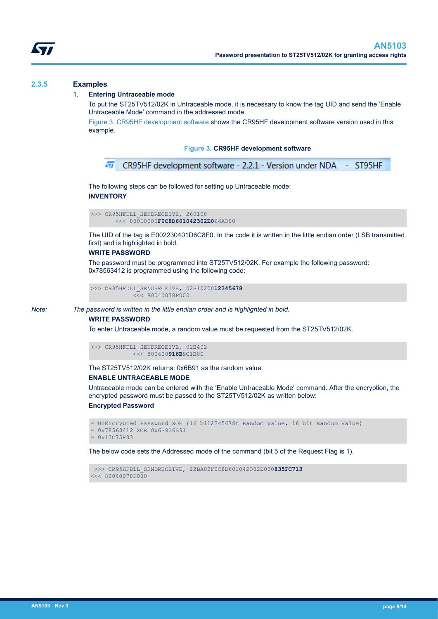<span id="page-7-0"></span>

#### **2.3.5 Examples**

#### 1. **Entering Untraceable mode**

To put the ST25TV512/02K in Untraceable mode, it is necessary to know the tag UID and send the 'Enable Untraceable Mode' command in the addressed mode.

Figure 3. CR95HF development software shows the CR95HF development software version used in this example.

#### **Figure 3. CR95HF development software**

```
Γī
    CR95HF development software - 2.2.1 - Version under NDA - ST95HF
```
The following steps can be followed for setting up Untraceable mode: **INVENTORY**

```
>>> CR95HFDLL_SENDRECEIVE, 260100
        <<< 800D0000F0C8D601042302E064A300
```
The UID of the tag is E002230401D6C8F0. In the code it is written in the little endian order (LSB transmitted first) and is highlighted in bold.

#### **WRITE PASSWORD**

The password must be programmed into ST25TV512/02K. For example the following password: 0x78563412 is programmed using the following code:

```
>>> CR95HFDLL_SENDRECEIVE, 02B1020012345678
           << 80040078F000
```
*Note: The password is written in the little endian order and is highlighted in bold.*

#### **WRITE PASSWORD**

To enter Untraceable mode, a random value must be requested from the ST25TV512/02K.

```
>>> CR95HFDLL_SENDRECEIVE, 02B402
             <<< 800600916B9C1B00
```
The ST25TV512/02K returns: 0x6B91 as the random value.

#### **ENABLE UNTRACEABLE MODE**

Untraceable mode can be entered with the 'Enable Untraceable Mode' command. After the encryption, the encrypted password must be passed to the ST25TV512/02K as written below:

#### **Encrypted Password**

```
= UnEncrypted Password XOR {16 bi12345678t Random Value, 16 bit Random Value}
= 0x78563412 XOR 0x6B916B91
= 0x13C75F83
```
The below code sets the Addressed mode of the command (bit 5 of the Request Flag is 1).

```
 >>> CR95HFDLL_SENDRECEIVE, 22BA02F0C8D601042302E000835FC713
<<< 80040078F000
```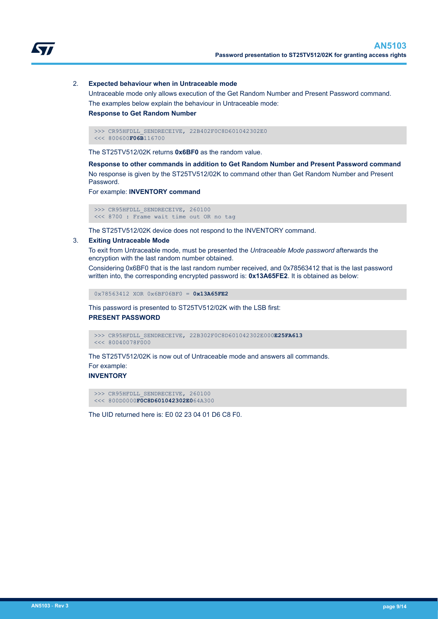

#### 2. **Expected behaviour when in Untraceable mode**

Untraceable mode only allows execution of the Get Random Number and Present Password command. The examples below explain the behaviour in Untraceable mode:

#### **Response to Get Random Number**

>>> CR95HFDLL SENDRECEIVE, 22B402F0C8D601042302E0 <<< 800600**F06B**116700

The ST25TV512/02K returns **0x6BF0** as the random value.

**Response to other commands in addition to Get Random Number and Present Password command** No response is given by the ST25TV512/02K to command other than Get Random Number and Present Password.

For example: **INVENTORY command**

 >>> CR95HFDLL\_SENDRECEIVE, 260100 <<< 8700 : Frame wait time out OR no tag

The ST25TV512/02K device does not respond to the INVENTORY command.

#### 3. **Exiting Untraceable Mode**

To exit from Untraceable mode, must be presented the *Untraceable Mode password* afterwards the encryption with the last random number obtained.

Considering 0x6BF0 that is the last random number received, and 0x78563412 that is the last password written into, the corresponding encrypted password is: **0x13A65FE2**. It is obtained as below:

0x78563412 XOR 0x6BF06BF0 = **0x13A65FE2**

This password is presented to ST25TV512/02K with the LSB first: **PRESENT PASSWORD**

 >>> CR95HFDLL\_SENDRECEIVE, 22B302F0C8D601042302E000**E25FA613**  $<< 80040078F000$ 

The ST25TV512/02K is now out of Untraceable mode and answers all commands.

#### For example: **INVENTORY**

```
>>> CR95HFDLL SENDRECEIVE, 260100
 <<< 800D0000F0C8D601042302E064A300
```
The UID returned here is: E0 02 23 04 01 D6 C8 F0.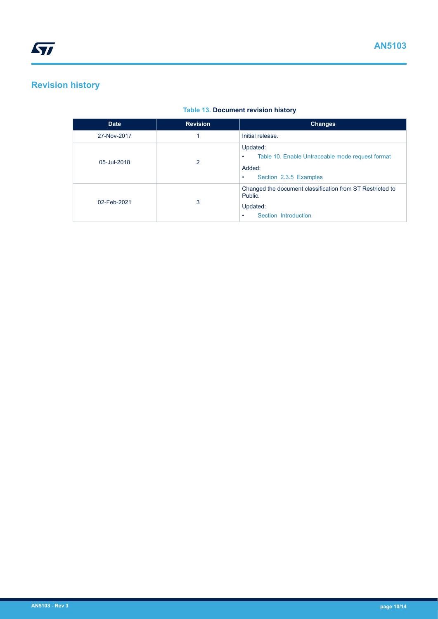## <span id="page-9-0"></span>**Revision history**

## **Table 13. Document revision history**

| <b>Date</b> | <b>Revision</b> | <b>Changes</b>                                                                                                             |
|-------------|-----------------|----------------------------------------------------------------------------------------------------------------------------|
| 27-Nov-2017 |                 | Initial release.                                                                                                           |
| 05-Jul-2018 | 2               | Updated:<br>Table 10. Enable Untraceable mode request format<br>$\bullet$<br>Added:<br>Section 2.3.5 Examples<br>$\bullet$ |
| 02-Feb-2021 | 3               | Changed the document classification from ST Restricted to<br>Public.<br>Updated:<br>Section Introduction<br>٠              |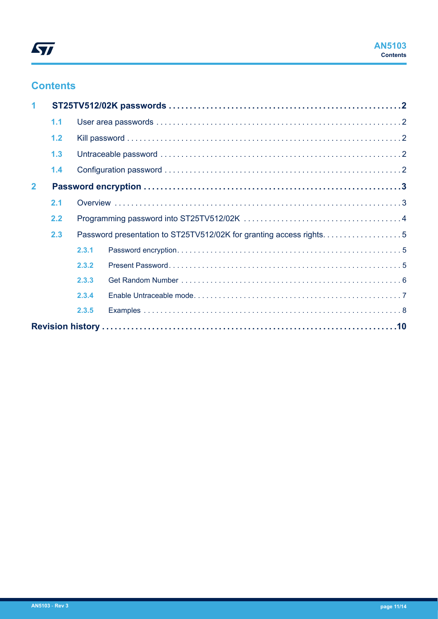

## **Contents**

| 1              |     |       |                                                                    |  |  |  |
|----------------|-----|-------|--------------------------------------------------------------------|--|--|--|
|                | 1.1 |       |                                                                    |  |  |  |
|                | 1.2 |       |                                                                    |  |  |  |
|                | 1.3 |       |                                                                    |  |  |  |
|                | 1.4 |       |                                                                    |  |  |  |
| $\overline{2}$ |     |       |                                                                    |  |  |  |
|                | 2.1 |       |                                                                    |  |  |  |
|                | 2.2 |       |                                                                    |  |  |  |
|                | 2.3 |       | Password presentation to ST25TV512/02K for granting access rights5 |  |  |  |
|                |     | 2.3.1 |                                                                    |  |  |  |
|                |     | 2.3.2 |                                                                    |  |  |  |
|                |     | 2.3.3 |                                                                    |  |  |  |
|                |     | 2.3.4 |                                                                    |  |  |  |
|                |     | 2.3.5 |                                                                    |  |  |  |
|                |     |       |                                                                    |  |  |  |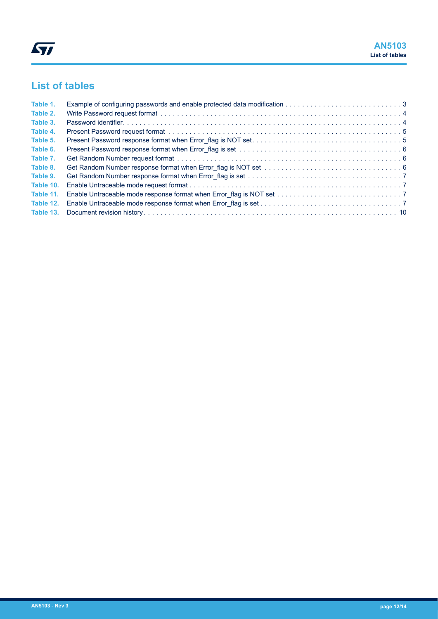## **List of tables**

| Table 1.  |  |
|-----------|--|
| Table 2.  |  |
| Table 3.  |  |
| Table 4.  |  |
| Table 5.  |  |
| Table 6.  |  |
| Table 7.  |  |
| Table 8.  |  |
| Table 9.  |  |
| Table 10. |  |
| Table 11. |  |
| Table 12. |  |
|           |  |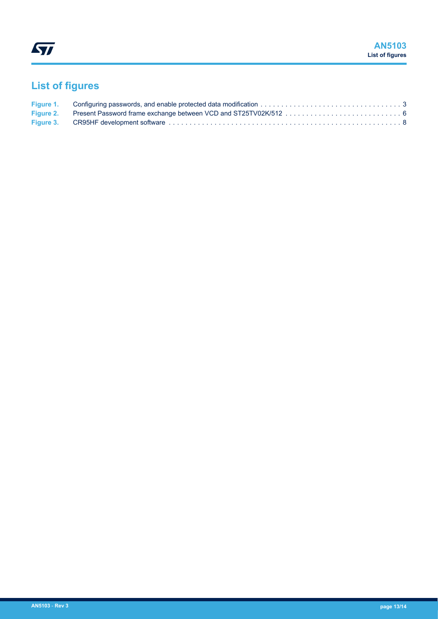# **List of figures**